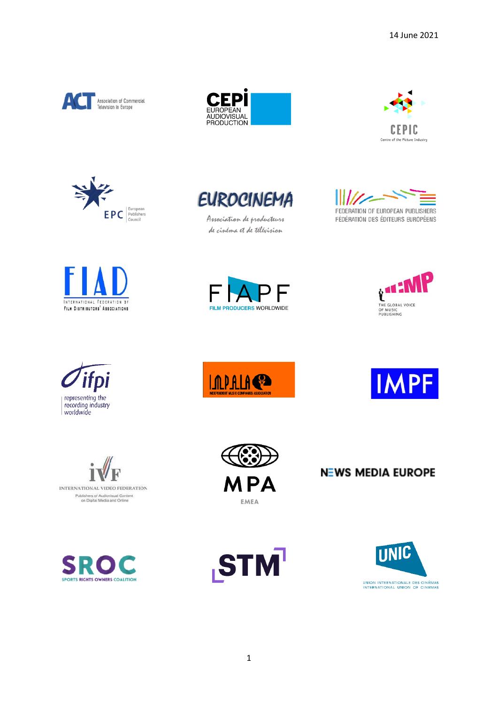









Association de producteurs de cinéma et de télévision





















**NEWS MEDIA EUROPE** 



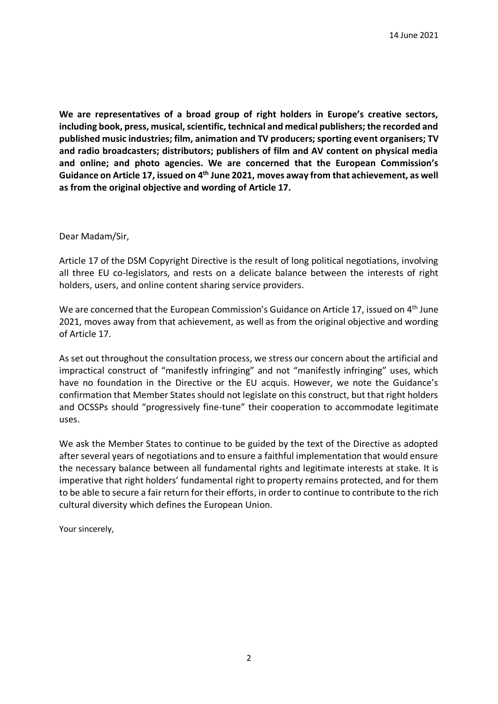**We are representatives of a broad group of right holders in Europe's creative sectors, including book, press, musical, scientific, technical and medical publishers; the recorded and published music industries; film, animation and TV producers; sporting event organisers; TV and radio broadcasters; distributors; publishers of film and AV content on physical media and online; and photo agencies. We are concerned that the European Commission's Guidance on Article 17, issued on 4th June 2021, moves away from that achievement, as well as from the original objective and wording of Article 17.**

## Dear Madam/Sir,

Article 17 of the DSM Copyright Directive is the result of long political negotiations, involving all three EU co-legislators, and rests on a delicate balance between the interests of right holders, users, and online content sharing service providers.

We are concerned that the European Commission's Guidance on Article 17, issued on 4<sup>th</sup> June 2021, moves away from that achievement, as well as from the original objective and wording of Article 17.

As set out throughout the consultation process, we stress our concern about the artificial and impractical construct of "manifestly infringing" and not "manifestly infringing" uses, which have no foundation in the Directive or the EU acquis. However, we note the Guidance's confirmation that Member States should not legislate on this construct, but that right holders and OCSSPs should "progressively fine-tune" their cooperation to accommodate legitimate uses.

We ask the Member States to continue to be guided by the text of the Directive as adopted after several years of negotiations and to ensure a faithful implementation that would ensure the necessary balance between all fundamental rights and legitimate interests at stake. It is imperative that right holders' fundamental right to property remains protected, and for them to be able to secure a fair return for their efforts, in order to continue to contribute to the rich cultural diversity which defines the European Union.

Your sincerely,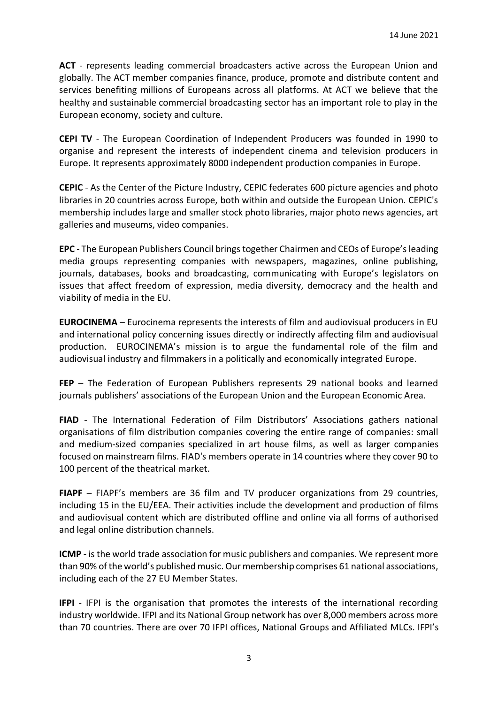**ACT** - represents leading commercial broadcasters active across the European Union and globally. The ACT member companies finance, produce, promote and distribute content and services benefiting millions of Europeans across all platforms. At ACT we believe that the healthy and sustainable commercial broadcasting sector has an important role to play in the European economy, society and culture.

**CEPI TV** - The European Coordination of Independent Producers was founded in 1990 to organise and represent the interests of independent cinema and television producers in Europe. It represents approximately 8000 independent production companies in Europe.

**CEPIC** - As the Center of the Picture Industry, CEPIC federates 600 picture agencies and photo libraries in 20 countries across Europe, both within and outside the European Union. CEPIC's membership includes large and smaller stock photo libraries, major photo news agencies, art galleries and museums, video companies.

**EPC** - The European Publishers Council brings together Chairmen and CEOs of Europe's leading media groups representing companies with newspapers, magazines, online publishing, journals, databases, books and broadcasting, communicating with Europe's legislators on issues that affect freedom of expression, media diversity, democracy and the health and viability of media in the EU.

**EUROCINEMA** – Eurocinema represents the interests of film and audiovisual producers in EU and international policy concerning issues directly or indirectly affecting film and audiovisual production. EUROCINEMA's mission is to argue the fundamental role of the film and audiovisual industry and filmmakers in a politically and economically integrated Europe.

**FEP** – The Federation of European Publishers represents 29 national books and learned journals publishers' associations of the European Union and the European Economic Area.

**FIAD** - The International Federation of Film Distributors' Associations gathers national organisations of film distribution companies covering the entire range of companies: small and medium-sized companies specialized in art house films, as well as larger companies focused on mainstream films. FIAD's members operate in 14 countries where they cover 90 to 100 percent of the theatrical market.

**FIAPF** – FIAPF's members are 36 film and TV producer organizations from 29 countries, including 15 in the EU/EEA. Their activities include the development and production of films and audiovisual content which are distributed offline and online via all forms of authorised and legal online distribution channels.

**ICMP** - is the world trade association for music publishers and companies. We represent more than 90% of the world's published music. Our membership comprises 61 national associations, including each of the 27 EU Member States.

**IFPI** - IFPI is the organisation that promotes the interests of the international recording industry worldwide. IFPI and its National Group network has over 8,000 members across more than 70 countries. There are over 70 IFPI offices, National Groups and Affiliated MLCs. IFPI's